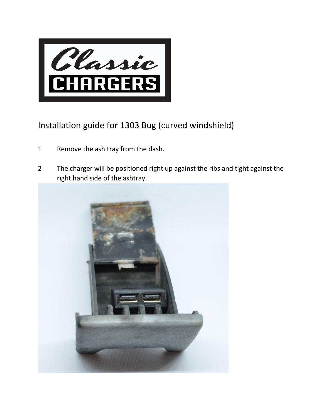

Installation guide for 1303 Bug (curved windshield)

- 1 Remove the ash tray from the dash.
- 2 The charger will be positioned right up against the ribs and tight against the right hand side of the ashtray.

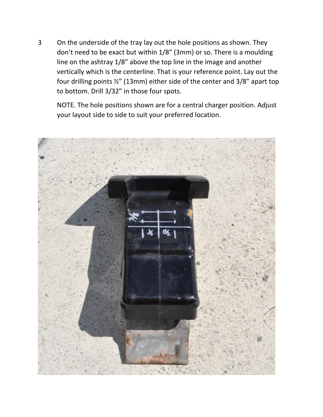3 On the underside of the tray lay out the hole positions as shown. They don't need to be exact but within 1/8" (3mm) or so. There is a moulding line on the ashtray 1/8" above the top line in the image and another vertically which is the centerline. That is your reference point. Lay out the four drilling points ½" (13mm) either side of the center and 3/8" apart top to bottom. Drill 3/32" in those four spots.

NOTE. The hole positions shown are for a central charger position. Adjust your layout side to side to suit your preferred location.

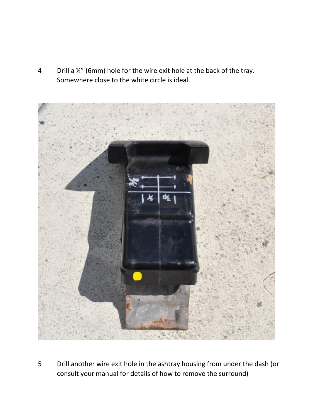4 Drill a ¼" (6mm) hole for the wire exit hole at the back of the tray. Somewhere close to the white circle is ideal.



5 Drill another wire exit hole in the ashtray housing from under the dash (or consult your manual for details of how to remove the surround)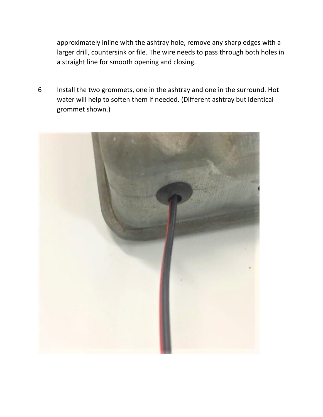approximately inline with the ashtray hole, remove any sharp edges with a larger drill, countersink or file. The wire needs to pass through both holes in a straight line for smooth opening and closing.

6 Install the two grommets, one in the ashtray and one in the surround. Hot water will help to soften them if needed. (Different ashtray but identical grommet shown.)

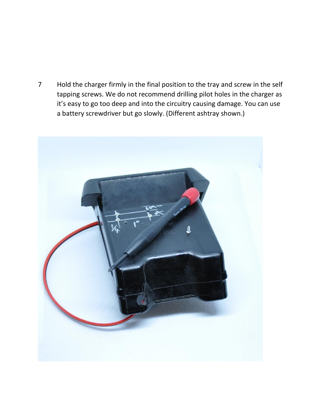7 Hold the charger firmly in the final position to the tray and screw in the self tapping screws. We do not recommend drilling pilot holes in the charger as it's easy to go too deep and into the circuitry causing damage. You can use a battery screwdriver but go slowly. (Different ashtray shown.)